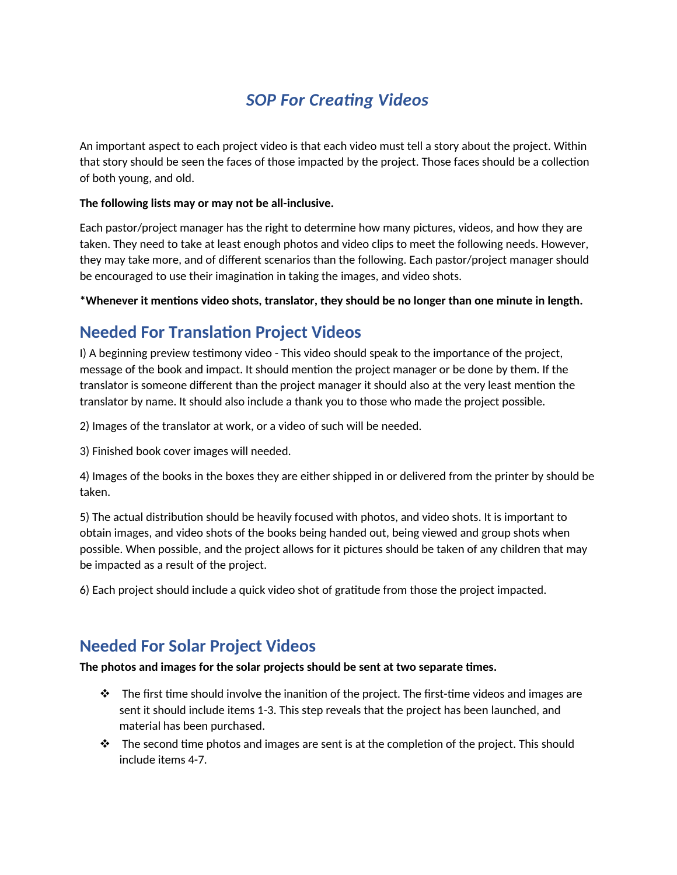# *SOP For Creating Videos*

An important aspect to each project video is that each video must tell a story about the project. Within that story should be seen the faces of those impacted by the project. Those faces should be a collection of both young, and old.

#### **The following lists may or may not be all-inclusive.**

Each pastor/project manager has the right to determine how many pictures, videos, and how they are taken. They need to take at least enough photos and video clips to meet the following needs. However, they may take more, and of different scenarios than the following. Each pastor/project manager should be encouraged to use their imagination in taking the images, and video shots.

**\*Whenever it mentions video shots, translator, they should be no longer than one minute in length.** 

## **Needed For Translation Project Videos**

I) A beginning preview testimony video - This video should speak to the importance of the project, message of the book and impact. It should mention the project manager or be done by them. If the translator is someone different than the project manager it should also at the very least mention the translator by name. It should also include a thank you to those who made the project possible.

2) Images of the translator at work, or a video of such will be needed.

3) Finished book cover images will needed.

4) Images of the books in the boxes they are either shipped in or delivered from the printer by should be taken.

5) The actual distribution should be heavily focused with photos, and video shots. It is important to obtain images, and video shots of the books being handed out, being viewed and group shots when possible. When possible, and the project allows for it pictures should be taken of any children that may be impacted as a result of the project.

6) Each project should include a quick video shot of gratitude from those the project impacted.

### **Needed For Solar Project Videos**

### **The photos and images for the solar projects should be sent at two separate times.**

- $\cdot \cdot$  The first time should involve the inanition of the project. The first-time videos and images are sent it should include items 1-3. This step reveals that the project has been launched, and material has been purchased.
- $\mathbf{\hat{P}}$  The second time photos and images are sent is at the completion of the project. This should include items 4-7.